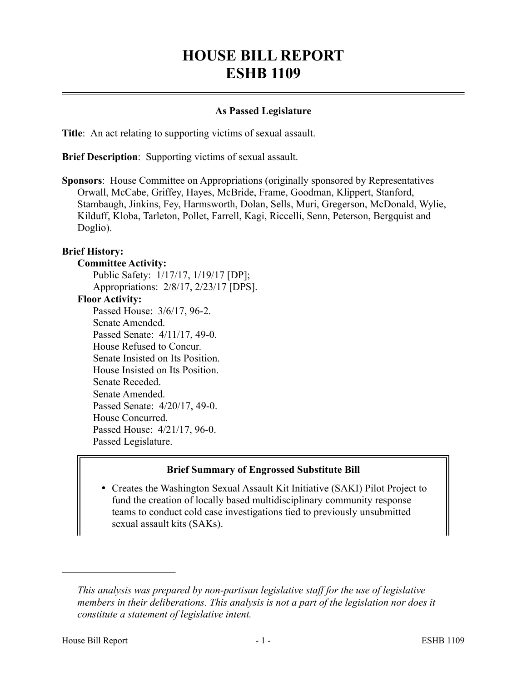# **HOUSE BILL REPORT ESHB 1109**

#### **As Passed Legislature**

**Title**: An act relating to supporting victims of sexual assault.

**Brief Description**: Supporting victims of sexual assault.

**Sponsors**: House Committee on Appropriations (originally sponsored by Representatives Orwall, McCabe, Griffey, Hayes, McBride, Frame, Goodman, Klippert, Stanford, Stambaugh, Jinkins, Fey, Harmsworth, Dolan, Sells, Muri, Gregerson, McDonald, Wylie, Kilduff, Kloba, Tarleton, Pollet, Farrell, Kagi, Riccelli, Senn, Peterson, Bergquist and Doglio).

#### **Brief History:**

#### **Committee Activity:**

Public Safety: 1/17/17, 1/19/17 [DP]; Appropriations: 2/8/17, 2/23/17 [DPS]. **Floor Activity:** Passed House: 3/6/17, 96-2. Senate Amended. Passed Senate: 4/11/17, 49-0. House Refused to Concur. Senate Insisted on Its Position. House Insisted on Its Position. Senate Receded. Senate Amended. Passed Senate: 4/20/17, 49-0.

House Concurred. Passed House: 4/21/17, 96-0.

Passed Legislature.

#### **Brief Summary of Engrossed Substitute Bill**

 Creates the Washington Sexual Assault Kit Initiative (SAKI) Pilot Project to fund the creation of locally based multidisciplinary community response teams to conduct cold case investigations tied to previously unsubmitted sexual assault kits (SAKs).

––––––––––––––––––––––

*This analysis was prepared by non-partisan legislative staff for the use of legislative members in their deliberations. This analysis is not a part of the legislation nor does it constitute a statement of legislative intent.*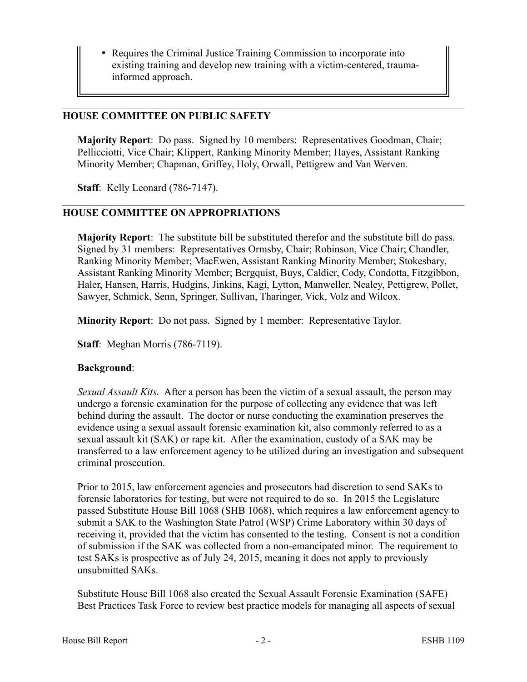• Requires the Criminal Justice Training Commission to incorporate into existing training and develop new training with a victim-centered, traumainformed approach.

### **HOUSE COMMITTEE ON PUBLIC SAFETY**

**Majority Report**: Do pass. Signed by 10 members: Representatives Goodman, Chair; Pellicciotti, Vice Chair; Klippert, Ranking Minority Member; Hayes, Assistant Ranking Minority Member; Chapman, Griffey, Holy, Orwall, Pettigrew and Van Werven.

**Staff**: Kelly Leonard (786-7147).

#### **HOUSE COMMITTEE ON APPROPRIATIONS**

**Majority Report**: The substitute bill be substituted therefor and the substitute bill do pass. Signed by 31 members: Representatives Ormsby, Chair; Robinson, Vice Chair; Chandler, Ranking Minority Member; MacEwen, Assistant Ranking Minority Member; Stokesbary, Assistant Ranking Minority Member; Bergquist, Buys, Caldier, Cody, Condotta, Fitzgibbon, Haler, Hansen, Harris, Hudgins, Jinkins, Kagi, Lytton, Manweller, Nealey, Pettigrew, Pollet, Sawyer, Schmick, Senn, Springer, Sullivan, Tharinger, Vick, Volz and Wilcox.

**Minority Report**: Do not pass. Signed by 1 member: Representative Taylor.

**Staff**: Meghan Morris (786-7119).

#### **Background**:

*Sexual Assault Kits.* After a person has been the victim of a sexual assault, the person may undergo a forensic examination for the purpose of collecting any evidence that was left behind during the assault. The doctor or nurse conducting the examination preserves the evidence using a sexual assault forensic examination kit, also commonly referred to as a sexual assault kit (SAK) or rape kit. After the examination, custody of a SAK may be transferred to a law enforcement agency to be utilized during an investigation and subsequent criminal prosecution.

Prior to 2015, law enforcement agencies and prosecutors had discretion to send SAKs to forensic laboratories for testing, but were not required to do so. In 2015 the Legislature passed Substitute House Bill 1068 (SHB 1068), which requires a law enforcement agency to submit a SAK to the Washington State Patrol (WSP) Crime Laboratory within 30 days of receiving it, provided that the victim has consented to the testing. Consent is not a condition of submission if the SAK was collected from a non-emancipated minor. The requirement to test SAKs is prospective as of July 24, 2015, meaning it does not apply to previously unsubmitted SAKs.

Substitute House Bill 1068 also created the Sexual Assault Forensic Examination (SAFE) Best Practices Task Force to review best practice models for managing all aspects of sexual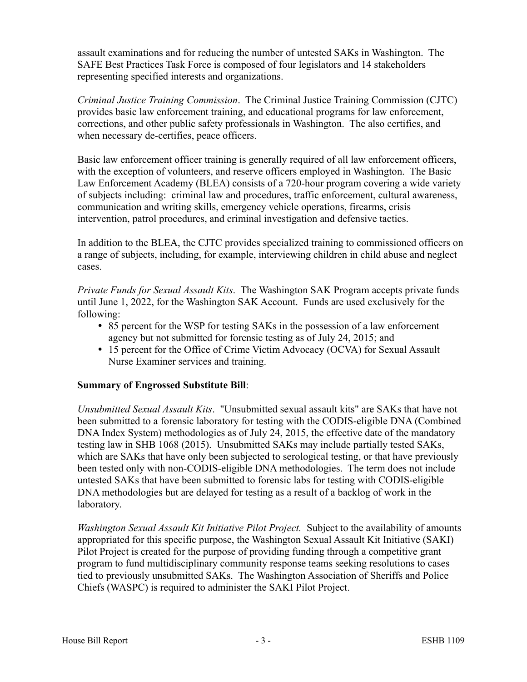assault examinations and for reducing the number of untested SAKs in Washington. The SAFE Best Practices Task Force is composed of four legislators and 14 stakeholders representing specified interests and organizations.

*Criminal Justice Training Commission*. The Criminal Justice Training Commission (CJTC) provides basic law enforcement training, and educational programs for law enforcement, corrections, and other public safety professionals in Washington. The also certifies, and when necessary de-certifies, peace officers.

Basic law enforcement officer training is generally required of all law enforcement officers, with the exception of volunteers, and reserve officers employed in Washington. The Basic Law Enforcement Academy (BLEA) consists of a 720-hour program covering a wide variety of subjects including: criminal law and procedures, traffic enforcement, cultural awareness, communication and writing skills, emergency vehicle operations, firearms, crisis intervention, patrol procedures, and criminal investigation and defensive tactics.

In addition to the BLEA, the CJTC provides specialized training to commissioned officers on a range of subjects, including, for example, interviewing children in child abuse and neglect cases.

*Private Funds for Sexual Assault Kits*. The Washington SAK Program accepts private funds until June 1, 2022, for the Washington SAK Account. Funds are used exclusively for the following:

- 85 percent for the WSP for testing SAKs in the possession of a law enforcement agency but not submitted for forensic testing as of July 24, 2015; and
- 15 percent for the Office of Crime Victim Advocacy (OCVA) for Sexual Assault Nurse Examiner services and training.

# **Summary of Engrossed Substitute Bill**:

*Unsubmitted Sexual Assault Kits*. "Unsubmitted sexual assault kits" are SAKs that have not been submitted to a forensic laboratory for testing with the CODIS-eligible DNA (Combined DNA Index System) methodologies as of July 24, 2015, the effective date of the mandatory testing law in SHB 1068 (2015). Unsubmitted SAKs may include partially tested SAKs, which are SAKs that have only been subjected to serological testing, or that have previously been tested only with non-CODIS-eligible DNA methodologies. The term does not include untested SAKs that have been submitted to forensic labs for testing with CODIS-eligible DNA methodologies but are delayed for testing as a result of a backlog of work in the laboratory.

*Washington Sexual Assault Kit Initiative Pilot Project.* Subject to the availability of amounts appropriated for this specific purpose, the Washington Sexual Assault Kit Initiative (SAKI) Pilot Project is created for the purpose of providing funding through a competitive grant program to fund multidisciplinary community response teams seeking resolutions to cases tied to previously unsubmitted SAKs. The Washington Association of Sheriffs and Police Chiefs (WASPC) is required to administer the SAKI Pilot Project.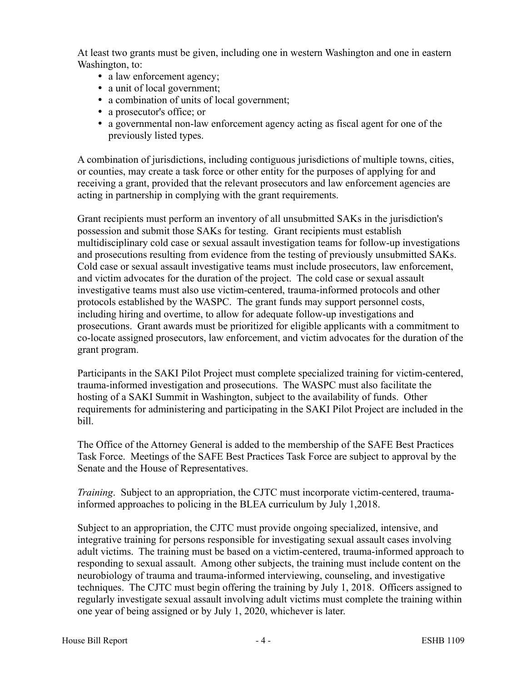At least two grants must be given, including one in western Washington and one in eastern Washington, to:

- a law enforcement agency;
- a unit of local government;
- a combination of units of local government;
- a prosecutor's office; or
- a governmental non-law enforcement agency acting as fiscal agent for one of the previously listed types.

A combination of jurisdictions, including contiguous jurisdictions of multiple towns, cities, or counties, may create a task force or other entity for the purposes of applying for and receiving a grant, provided that the relevant prosecutors and law enforcement agencies are acting in partnership in complying with the grant requirements.

Grant recipients must perform an inventory of all unsubmitted SAKs in the jurisdiction's possession and submit those SAKs for testing. Grant recipients must establish multidisciplinary cold case or sexual assault investigation teams for follow-up investigations and prosecutions resulting from evidence from the testing of previously unsubmitted SAKs. Cold case or sexual assault investigative teams must include prosecutors, law enforcement, and victim advocates for the duration of the project. The cold case or sexual assault investigative teams must also use victim-centered, trauma-informed protocols and other protocols established by the WASPC. The grant funds may support personnel costs, including hiring and overtime, to allow for adequate follow-up investigations and prosecutions. Grant awards must be prioritized for eligible applicants with a commitment to co-locate assigned prosecutors, law enforcement, and victim advocates for the duration of the grant program.

Participants in the SAKI Pilot Project must complete specialized training for victim-centered, trauma-informed investigation and prosecutions. The WASPC must also facilitate the hosting of a SAKI Summit in Washington, subject to the availability of funds. Other requirements for administering and participating in the SAKI Pilot Project are included in the bill.

The Office of the Attorney General is added to the membership of the SAFE Best Practices Task Force. Meetings of the SAFE Best Practices Task Force are subject to approval by the Senate and the House of Representatives.

*Training*. Subject to an appropriation, the CJTC must incorporate victim-centered, traumainformed approaches to policing in the BLEA curriculum by July 1,2018.

Subject to an appropriation, the CJTC must provide ongoing specialized, intensive, and integrative training for persons responsible for investigating sexual assault cases involving adult victims. The training must be based on a victim-centered, trauma-informed approach to responding to sexual assault. Among other subjects, the training must include content on the neurobiology of trauma and trauma-informed interviewing, counseling, and investigative techniques. The CJTC must begin offering the training by July 1, 2018. Officers assigned to regularly investigate sexual assault involving adult victims must complete the training within one year of being assigned or by July 1, 2020, whichever is later.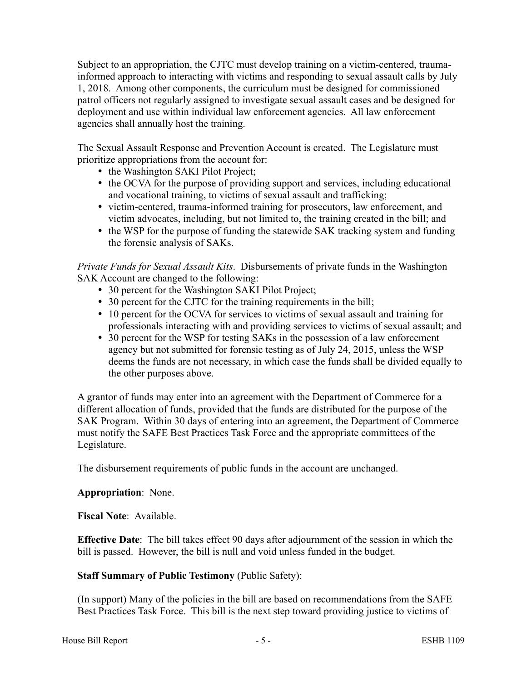Subject to an appropriation, the CJTC must develop training on a victim-centered, traumainformed approach to interacting with victims and responding to sexual assault calls by July 1, 2018. Among other components, the curriculum must be designed for commissioned patrol officers not regularly assigned to investigate sexual assault cases and be designed for deployment and use within individual law enforcement agencies. All law enforcement agencies shall annually host the training.

The Sexual Assault Response and Prevention Account is created. The Legislature must prioritize appropriations from the account for:

- the Washington SAKI Pilot Project;
- the OCVA for the purpose of providing support and services, including educational and vocational training, to victims of sexual assault and trafficking;
- victim-centered, trauma-informed training for prosecutors, law enforcement, and victim advocates, including, but not limited to, the training created in the bill; and
- the WSP for the purpose of funding the statewide SAK tracking system and funding the forensic analysis of SAKs.

*Private Funds for Sexual Assault Kits*. Disbursements of private funds in the Washington SAK Account are changed to the following:

- 30 percent for the Washington SAKI Pilot Project;
- 30 percent for the CJTC for the training requirements in the bill;
- 10 percent for the OCVA for services to victims of sexual assault and training for professionals interacting with and providing services to victims of sexual assault; and
- 30 percent for the WSP for testing SAKs in the possession of a law enforcement agency but not submitted for forensic testing as of July 24, 2015, unless the WSP deems the funds are not necessary, in which case the funds shall be divided equally to the other purposes above.

A grantor of funds may enter into an agreement with the Department of Commerce for a different allocation of funds, provided that the funds are distributed for the purpose of the SAK Program. Within 30 days of entering into an agreement, the Department of Commerce must notify the SAFE Best Practices Task Force and the appropriate committees of the Legislature.

The disbursement requirements of public funds in the account are unchanged.

# **Appropriation**: None.

**Fiscal Note**: Available.

**Effective Date**: The bill takes effect 90 days after adjournment of the session in which the bill is passed. However, the bill is null and void unless funded in the budget.

# **Staff Summary of Public Testimony** (Public Safety):

(In support) Many of the policies in the bill are based on recommendations from the SAFE Best Practices Task Force. This bill is the next step toward providing justice to victims of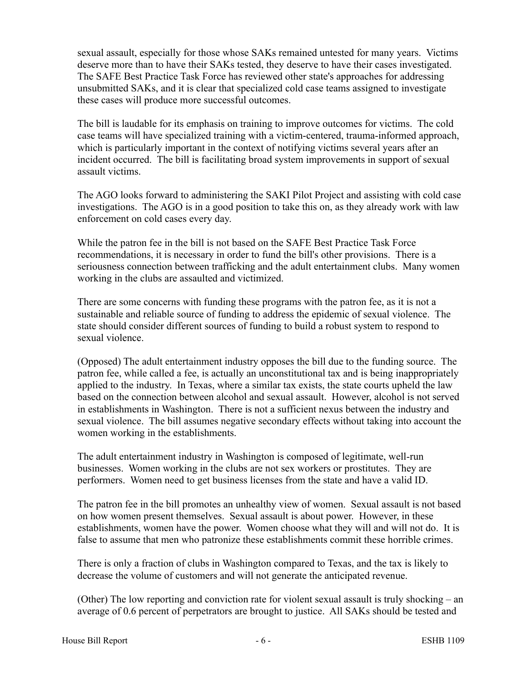sexual assault, especially for those whose SAKs remained untested for many years. Victims deserve more than to have their SAKs tested, they deserve to have their cases investigated. The SAFE Best Practice Task Force has reviewed other state's approaches for addressing unsubmitted SAKs, and it is clear that specialized cold case teams assigned to investigate these cases will produce more successful outcomes.

The bill is laudable for its emphasis on training to improve outcomes for victims. The cold case teams will have specialized training with a victim-centered, trauma-informed approach, which is particularly important in the context of notifying victims several years after an incident occurred. The bill is facilitating broad system improvements in support of sexual assault victims.

The AGO looks forward to administering the SAKI Pilot Project and assisting with cold case investigations. The AGO is in a good position to take this on, as they already work with law enforcement on cold cases every day.

While the patron fee in the bill is not based on the SAFE Best Practice Task Force recommendations, it is necessary in order to fund the bill's other provisions. There is a seriousness connection between trafficking and the adult entertainment clubs. Many women working in the clubs are assaulted and victimized.

There are some concerns with funding these programs with the patron fee, as it is not a sustainable and reliable source of funding to address the epidemic of sexual violence. The state should consider different sources of funding to build a robust system to respond to sexual violence.

(Opposed) The adult entertainment industry opposes the bill due to the funding source. The patron fee, while called a fee, is actually an unconstitutional tax and is being inappropriately applied to the industry. In Texas, where a similar tax exists, the state courts upheld the law based on the connection between alcohol and sexual assault. However, alcohol is not served in establishments in Washington. There is not a sufficient nexus between the industry and sexual violence. The bill assumes negative secondary effects without taking into account the women working in the establishments.

The adult entertainment industry in Washington is composed of legitimate, well-run businesses. Women working in the clubs are not sex workers or prostitutes. They are performers. Women need to get business licenses from the state and have a valid ID.

The patron fee in the bill promotes an unhealthy view of women. Sexual assault is not based on how women present themselves. Sexual assault is about power. However, in these establishments, women have the power. Women choose what they will and will not do. It is false to assume that men who patronize these establishments commit these horrible crimes.

There is only a fraction of clubs in Washington compared to Texas, and the tax is likely to decrease the volume of customers and will not generate the anticipated revenue.

(Other) The low reporting and conviction rate for violent sexual assault is truly shocking – an average of 0.6 percent of perpetrators are brought to justice. All SAKs should be tested and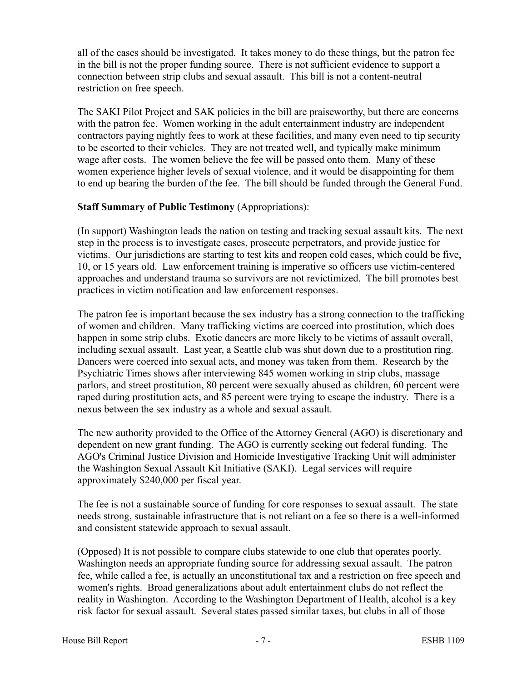all of the cases should be investigated. It takes money to do these things, but the patron fee in the bill is not the proper funding source. There is not sufficient evidence to support a connection between strip clubs and sexual assault. This bill is not a content-neutral restriction on free speech.

The SAKI Pilot Project and SAK policies in the bill are praiseworthy, but there are concerns with the patron fee. Women working in the adult entertainment industry are independent contractors paying nightly fees to work at these facilities, and many even need to tip security to be escorted to their vehicles. They are not treated well, and typically make minimum wage after costs. The women believe the fee will be passed onto them. Many of these women experience higher levels of sexual violence, and it would be disappointing for them to end up bearing the burden of the fee. The bill should be funded through the General Fund.

#### **Staff Summary of Public Testimony** (Appropriations):

(In support) Washington leads the nation on testing and tracking sexual assault kits. The next step in the process is to investigate cases, prosecute perpetrators, and provide justice for victims. Our jurisdictions are starting to test kits and reopen cold cases, which could be five, 10, or 15 years old. Law enforcement training is imperative so officers use victim-centered approaches and understand trauma so survivors are not revictimized. The bill promotes best practices in victim notification and law enforcement responses.

The patron fee is important because the sex industry has a strong connection to the trafficking of women and children. Many trafficking victims are coerced into prostitution, which does happen in some strip clubs. Exotic dancers are more likely to be victims of assault overall, including sexual assault. Last year, a Seattle club was shut down due to a prostitution ring. Dancers were coerced into sexual acts, and money was taken from them. Research by the Psychiatric Times shows after interviewing 845 women working in strip clubs, massage parlors, and street prostitution, 80 percent were sexually abused as children, 60 percent were raped during prostitution acts, and 85 percent were trying to escape the industry. There is a nexus between the sex industry as a whole and sexual assault.

The new authority provided to the Office of the Attorney General (AGO) is discretionary and dependent on new grant funding. The AGO is currently seeking out federal funding. The AGO's Criminal Justice Division and Homicide Investigative Tracking Unit will administer the Washington Sexual Assault Kit Initiative (SAKI). Legal services will require approximately \$240,000 per fiscal year.

The fee is not a sustainable source of funding for core responses to sexual assault. The state needs strong, sustainable infrastructure that is not reliant on a fee so there is a well-informed and consistent statewide approach to sexual assault.

(Opposed) It is not possible to compare clubs statewide to one club that operates poorly. Washington needs an appropriate funding source for addressing sexual assault. The patron fee, while called a fee, is actually an unconstitutional tax and a restriction on free speech and women's rights. Broad generalizations about adult entertainment clubs do not reflect the reality in Washington. According to the Washington Department of Health, alcohol is a key risk factor for sexual assault. Several states passed similar taxes, but clubs in all of those